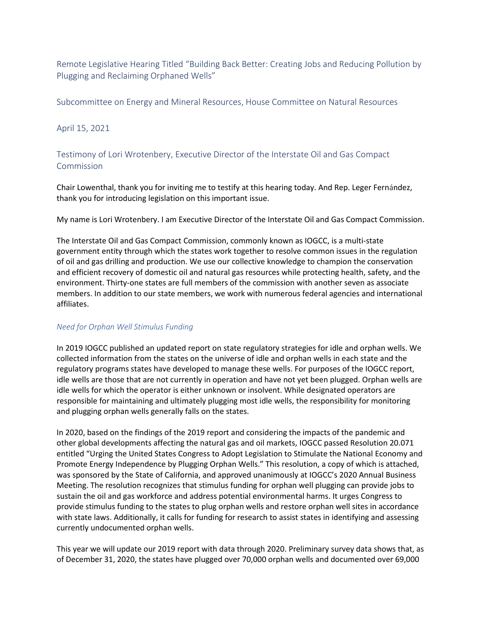Remote Legislative Hearing Titled "Building Back Better: Creating Jobs and Reducing Pollution by Plugging and Reclaiming Orphaned Wells"

Subcommittee on Energy and Mineral Resources, House Committee on Natural Resources

## April 15, 2021

Testimony of Lori Wrotenbery, Executive Director of the Interstate Oil and Gas Compact Commission

Chair Lowenthal, thank you for inviting me to testify at this hearing today. And Rep. Leger Fernández, thank you for introducing legislation on this important issue.

My name is Lori Wrotenbery. I am Executive Director of the Interstate Oil and Gas Compact Commission.

The Interstate Oil and Gas Compact Commission, commonly known as IOGCC, is a multi-state government entity through which the states work together to resolve common issues in the regulation of oil and gas drilling and production. We use our collective knowledge to champion the conservation and efficient recovery of domestic oil and natural gas resources while protecting health, safety, and the environment. Thirty-one states are full members of the commission with another seven as associate members. In addition to our state members, we work with numerous federal agencies and international affiliates.

## *Need for Orphan Well Stimulus Funding*

In 2019 IOGCC published an updated report on state regulatory strategies for idle and orphan wells. We collected information from the states on the universe of idle and orphan wells in each state and the regulatory programs states have developed to manage these wells. For purposes of the IOGCC report, idle wells are those that are not currently in operation and have not yet been plugged. Orphan wells are idle wells for which the operator is either unknown or insolvent. While designated operators are responsible for maintaining and ultimately plugging most idle wells, the responsibility for monitoring and plugging orphan wells generally falls on the states.

In 2020, based on the findings of the 2019 report and considering the impacts of the pandemic and other global developments affecting the natural gas and oil markets, IOGCC passed Resolution 20.071 entitled "Urging the United States Congress to Adopt Legislation to Stimulate the National Economy and Promote Energy Independence by Plugging Orphan Wells." This resolution, a copy of which is attached, was sponsored by the State of California, and approved unanimously at IOGCC's 2020 Annual Business Meeting. The resolution recognizes that stimulus funding for orphan well plugging can provide jobs to sustain the oil and gas workforce and address potential environmental harms. It urges Congress to provide stimulus funding to the states to plug orphan wells and restore orphan well sites in accordance with state laws. Additionally, it calls for funding for research to assist states in identifying and assessing currently undocumented orphan wells.

This year we will update our 2019 report with data through 2020. Preliminary survey data shows that, as of December 31, 2020, the states have plugged over 70,000 orphan wells and documented over 69,000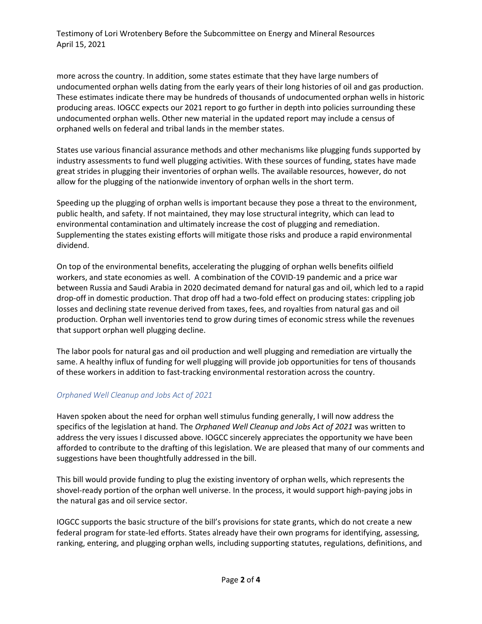Testimony of Lori Wrotenbery Before the Subcommittee on Energy and Mineral Resources April 15, 2021

more across the country. In addition, some states estimate that they have large numbers of undocumented orphan wells dating from the early years of their long histories of oil and gas production. These estimates indicate there may be hundreds of thousands of undocumented orphan wells in historic producing areas. IOGCC expects our 2021 report to go further in depth into policies surrounding these undocumented orphan wells. Other new material in the updated report may include a census of orphaned wells on federal and tribal lands in the member states.

States use various financial assurance methods and other mechanisms like plugging funds supported by industry assessments to fund well plugging activities. With these sources of funding, states have made great strides in plugging their inventories of orphan wells. The available resources, however, do not allow for the plugging of the nationwide inventory of orphan wells in the short term.

Speeding up the plugging of orphan wells is important because they pose a threat to the environment, public health, and safety. If not maintained, they may lose structural integrity, which can lead to environmental contamination and ultimately increase the cost of plugging and remediation. Supplementing the states existing efforts will mitigate those risks and produce a rapid environmental dividend.

On top of the environmental benefits, accelerating the plugging of orphan wells benefits oilfield workers, and state economies as well. A combination of the COVID-19 pandemic and a price war between Russia and Saudi Arabia in 2020 decimated demand for natural gas and oil, which led to a rapid drop-off in domestic production. That drop off had a two-fold effect on producing states: crippling job losses and declining state revenue derived from taxes, fees, and royalties from natural gas and oil production. Orphan well inventories tend to grow during times of economic stress while the revenues that support orphan well plugging decline.

The labor pools for natural gas and oil production and well plugging and remediation are virtually the same. A healthy influx of funding for well plugging will provide job opportunities for tens of thousands of these workers in addition to fast-tracking environmental restoration across the country.

## *Orphaned Well Cleanup and Jobs Act of 2021*

Haven spoken about the need for orphan well stimulus funding generally, I will now address the specifics of the legislation at hand. The *Orphaned Well Cleanup and Jobs Act of 2021* was written to address the very issues I discussed above. IOGCC sincerely appreciates the opportunity we have been afforded to contribute to the drafting of this legislation. We are pleased that many of our comments and suggestions have been thoughtfully addressed in the bill.

This bill would provide funding to plug the existing inventory of orphan wells, which represents the shovel-ready portion of the orphan well universe. In the process, it would support high-paying jobs in the natural gas and oil service sector.

IOGCC supports the basic structure of the bill's provisions for state grants, which do not create a new federal program for state-led efforts. States already have their own programs for identifying, assessing, ranking, entering, and plugging orphan wells, including supporting statutes, regulations, definitions, and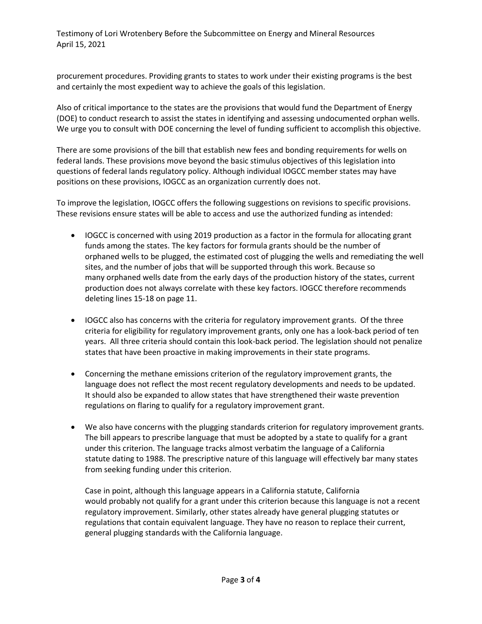Testimony of Lori Wrotenbery Before the Subcommittee on Energy and Mineral Resources April 15, 2021

procurement procedures. Providing grants to states to work under their existing programs is the best and certainly the most expedient way to achieve the goals of this legislation.

Also of critical importance to the states are the provisions that would fund the Department of Energy (DOE) to conduct research to assist the states in identifying and assessing undocumented orphan wells. We urge you to consult with DOE concerning the level of funding sufficient to accomplish this objective.

There are some provisions of the bill that establish new fees and bonding requirements for wells on federal lands. These provisions move beyond the basic stimulus objectives of this legislation into questions of federal lands regulatory policy. Although individual IOGCC member states may have positions on these provisions, IOGCC as an organization currently does not.

To improve the legislation, IOGCC offers the following suggestions on revisions to specific provisions. These revisions ensure states will be able to access and use the authorized funding as intended:

- IOGCC is concerned with using 2019 production as a factor in the formula for allocating grant funds among the states. The key factors for formula grants should be the number of orphaned wells to be plugged, the estimated cost of plugging the wells and remediating the well sites, and the number of jobs that will be supported through this work. Because so many orphaned wells date from the early days of the production history of the states, current production does not always correlate with these key factors. IOGCC therefore recommends deleting lines 15-18 on page 11.
- IOGCC also has concerns with the criteria for regulatory improvement grants. Of the three criteria for eligibility for regulatory improvement grants, only one has a look-back period of ten years. All three criteria should contain this look-back period. The legislation should not penalize states that have been proactive in making improvements in their state programs.
- Concerning the methane emissions criterion of the regulatory improvement grants, the language does not reflect the most recent regulatory developments and needs to be updated. It should also be expanded to allow states that have strengthened their waste prevention regulations on flaring to qualify for a regulatory improvement grant.
- We also have concerns with the plugging standards criterion for regulatory improvement grants. The bill appears to prescribe language that must be adopted by a state to qualify for a grant under this criterion. The language tracks almost verbatim the language of a California statute dating to 1988. The prescriptive nature of this language will effectively bar many states from seeking funding under this criterion.

Case in point, although this language appears in a California statute, California would probably not qualify for a grant under this criterion because this language is not a recent regulatory improvement. Similarly, other states already have general plugging statutes or regulations that contain equivalent language. They have no reason to replace their current, general plugging standards with the California language.